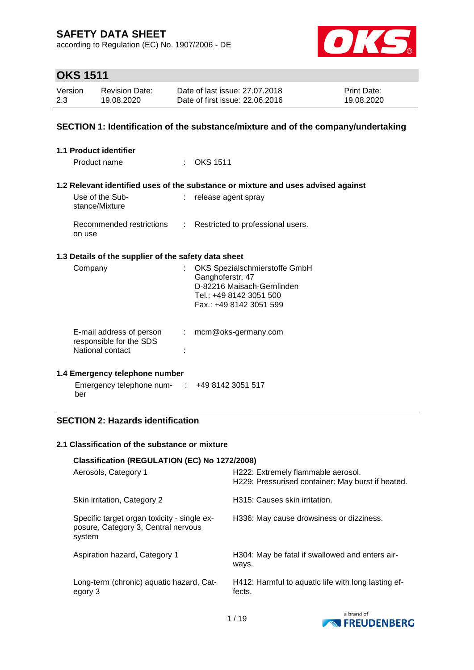according to Regulation (EC) No. 1907/2006 - DE



# **OKS 1511**

| Version | <b>Revision Date:</b> | Date of last issue: 27,07,2018  | <b>Print Date:</b> |
|---------|-----------------------|---------------------------------|--------------------|
| 2.3     | 19.08.2020            | Date of first issue: 22,06,2016 | 19.08.2020         |

### **SECTION 1: Identification of the substance/mixture and of the company/undertaking**

| 1.1 Product identifier                               |    |                                                                                                                                         |
|------------------------------------------------------|----|-----------------------------------------------------------------------------------------------------------------------------------------|
| Product name                                         |    | $\therefore$ OKS 1511                                                                                                                   |
|                                                      |    | 1.2 Relevant identified uses of the substance or mixture and uses advised against                                                       |
| Use of the Sub-<br>stance/Mixture                    |    | : release agent spray                                                                                                                   |
| Recommended restrictions<br>on use                   |    | : Restricted to professional users.                                                                                                     |
| 1.3 Details of the supplier of the safety data sheet |    |                                                                                                                                         |
| Company                                              |    | : OKS Spezialschmierstoffe GmbH<br>Ganghoferstr. 47<br>D-82216 Maisach-Gernlinden<br>Tel.: +49 8142 3051 500<br>Fax.: +49 8142 3051 599 |
| E-mail address of person<br>responsible for the SDS  | t. | mcm@oks-germany.com                                                                                                                     |

#### **1.4 Emergency telephone number**

National contact intervals and the state of the state of the state of the state of the state of the state of the state of the state of the state of the state of the state of the state of the state of the state of the state

| Emergency telephone num- | +49 8142 3051 517 |
|--------------------------|-------------------|
| ber                      |                   |

### **SECTION 2: Hazards identification**

#### **2.1 Classification of the substance or mixture**

| Classification (REGULATION (EC) No 1272/2008)                                                |                                                                                         |
|----------------------------------------------------------------------------------------------|-----------------------------------------------------------------------------------------|
| Aerosols, Category 1                                                                         | H222: Extremely flammable aerosol.<br>H229: Pressurised container: May burst if heated. |
| Skin irritation, Category 2                                                                  | H315: Causes skin irritation.                                                           |
| Specific target organ toxicity - single ex-<br>posure, Category 3, Central nervous<br>system | H336: May cause drowsiness or dizziness.                                                |
| Aspiration hazard, Category 1                                                                | H304: May be fatal if swallowed and enters air-<br>ways.                                |
| Long-term (chronic) aquatic hazard, Cat-<br>egory 3                                          | H412: Harmful to aquatic life with long lasting ef-<br>fects.                           |

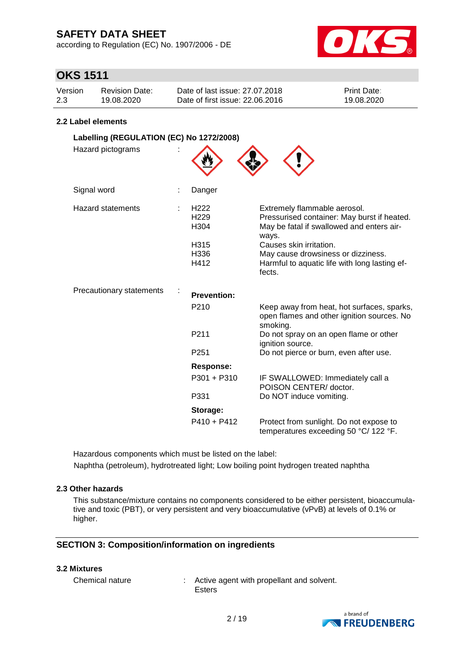according to Regulation (EC) No. 1907/2006 - DE



## **OKS 1511**

| Version | Revision Date: | Date of last issue: 27,07,2018  | <b>Print Date:</b> |
|---------|----------------|---------------------------------|--------------------|
| 2.3     | 19.08.2020     | Date of first issue: 22.06.2016 | 19.08.2020         |

#### **2.2 Label elements**

| Labelling (REGULATION (EC) No 1272/2008) |                                                                                  |                                                                                                                                                                                                                                                               |
|------------------------------------------|----------------------------------------------------------------------------------|---------------------------------------------------------------------------------------------------------------------------------------------------------------------------------------------------------------------------------------------------------------|
| Hazard pictograms                        |                                                                                  |                                                                                                                                                                                                                                                               |
| Signal word                              | Danger                                                                           |                                                                                                                                                                                                                                                               |
| <b>Hazard statements</b>                 | H <sub>222</sub><br>H <sub>229</sub><br>H <sub>304</sub><br>H315<br>H336<br>H412 | Extremely flammable aerosol.<br>Pressurised container: May burst if heated.<br>May be fatal if swallowed and enters air-<br>ways.<br>Causes skin irritation.<br>May cause drowsiness or dizziness.<br>Harmful to aquatic life with long lasting ef-<br>fects. |
| <b>Precautionary statements</b>          | <b>Prevention:</b>                                                               |                                                                                                                                                                                                                                                               |
|                                          | P <sub>210</sub>                                                                 | Keep away from heat, hot surfaces, sparks,<br>open flames and other ignition sources. No<br>smoking.                                                                                                                                                          |
|                                          | P <sub>211</sub>                                                                 | Do not spray on an open flame or other<br>ignition source.                                                                                                                                                                                                    |
|                                          | P251                                                                             | Do not pierce or burn, even after use.                                                                                                                                                                                                                        |
|                                          | Response:                                                                        |                                                                                                                                                                                                                                                               |
|                                          | P301 + P310                                                                      | IF SWALLOWED: Immediately call a<br>POISON CENTER/ doctor.                                                                                                                                                                                                    |
|                                          | P331                                                                             | Do NOT induce vomiting.                                                                                                                                                                                                                                       |
|                                          | Storage:                                                                         |                                                                                                                                                                                                                                                               |
|                                          | $P410 + P412$                                                                    | Protect from sunlight. Do not expose to<br>temperatures exceeding 50 °C/ 122 °F.                                                                                                                                                                              |

Hazardous components which must be listed on the label: Naphtha (petroleum), hydrotreated light; Low boiling point hydrogen treated naphtha

### **2.3 Other hazards**

This substance/mixture contains no components considered to be either persistent, bioaccumulative and toxic (PBT), or very persistent and very bioaccumulative (vPvB) at levels of 0.1% or higher.

#### **SECTION 3: Composition/information on ingredients**

#### **3.2 Mixtures**

Chemical nature : Active agent with propellant and solvent. Esters

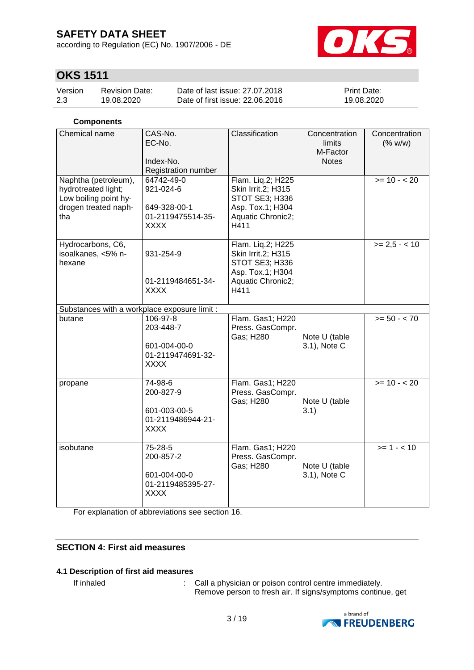according to Regulation (EC) No. 1907/2006 - DE



## **OKS 1511**

| Version | <b>Revision Date:</b> | Date of last issue: 27,07,2018  | <b>Print Date:</b> |
|---------|-----------------------|---------------------------------|--------------------|
| 2.3     | 19.08.2020            | Date of first issue: 22,06,2016 | 19.08.2020         |

#### **Components**

| Chemical name                                                                                       | CAS-No.<br>EC-No.<br>Index-No.<br>Registration number                       | Classification                                                                                             | Concentration<br>limits<br>M-Factor<br><b>Notes</b> | Concentration<br>(% w/w) |
|-----------------------------------------------------------------------------------------------------|-----------------------------------------------------------------------------|------------------------------------------------------------------------------------------------------------|-----------------------------------------------------|--------------------------|
| Naphtha (petroleum),<br>hydrotreated light;<br>Low boiling point hy-<br>drogen treated naph-<br>tha | 64742-49-0<br>921-024-6<br>649-328-00-1<br>01-2119475514-35-<br><b>XXXX</b> | Flam. Liq.2; H225<br>Skin Irrit.2; H315<br>STOT SE3; H336<br>Asp. Tox.1; H304<br>Aquatic Chronic2;<br>H411 |                                                     | $>= 10 - 20$             |
| Hydrocarbons, C6,<br>isoalkanes, <5% n-<br>hexane                                                   | 931-254-9<br>01-2119484651-34-<br><b>XXXX</b>                               | Flam. Liq.2; H225<br>Skin Irrit.2; H315<br>STOT SE3; H336<br>Asp. Tox.1; H304<br>Aquatic Chronic2;<br>H411 |                                                     | $>= 2.5 - < 10$          |
| Substances with a workplace exposure limit :                                                        |                                                                             |                                                                                                            |                                                     |                          |
| butane                                                                                              | 106-97-8<br>203-448-7<br>601-004-00-0<br>01-2119474691-32-<br><b>XXXX</b>   | Flam. Gas1; H220<br>Press. GasCompr.<br>Gas; H280                                                          | Note U (table<br>3.1), Note C                       | $>= 50 - < 70$           |
| propane                                                                                             | 74-98-6<br>200-827-9<br>601-003-00-5<br>01-2119486944-21-<br><b>XXXX</b>    | Flam. Gas1; H220<br>Press. GasCompr.<br>Gas; H280                                                          | Note U (table<br>3.1)                               | $>= 10 - 20$             |
| isobutane                                                                                           | 75-28-5<br>200-857-2<br>601-004-00-0<br>01-2119485395-27-<br><b>XXXX</b>    | Flam. Gas1; H220<br>Press. GasCompr.<br>Gas; H280                                                          | Note U (table<br>3.1), Note C                       | $>= 1 - 10$              |

For explanation of abbreviations see section 16.

### **SECTION 4: First aid measures**

### **4.1 Description of first aid measures**

If inhaled  $\qquad \qquad : \qquad$  Call a physician or poison control centre immediately. Remove person to fresh air. If signs/symptoms continue, get

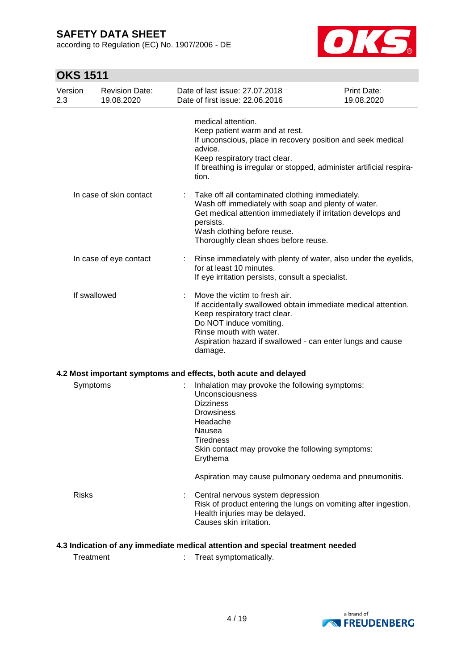according to Regulation (EC) No. 1907/2006 - DE



# **OKS 1511**

| Version<br>2.3 |              | <b>Revision Date:</b><br>19.08.2020 |   | Date of last issue: 27.07.2018<br>Date of first issue: 22.06.2016                                                                                                                                                                                              | Print Date:<br>19.08.2020 |
|----------------|--------------|-------------------------------------|---|----------------------------------------------------------------------------------------------------------------------------------------------------------------------------------------------------------------------------------------------------------------|---------------------------|
|                |              |                                     |   | medical attention.<br>Keep patient warm and at rest.<br>If unconscious, place in recovery position and seek medical<br>advice.<br>Keep respiratory tract clear.<br>If breathing is irregular or stopped, administer artificial respira-<br>tion.               |                           |
|                |              | In case of skin contact             | ÷ | Take off all contaminated clothing immediately.<br>Wash off immediately with soap and plenty of water.<br>Get medical attention immediately if irritation develops and<br>persists.<br>Wash clothing before reuse.<br>Thoroughly clean shoes before reuse.     |                           |
|                |              | In case of eye contact              |   | Rinse immediately with plenty of water, also under the eyelids,<br>for at least 10 minutes.<br>If eye irritation persists, consult a specialist.                                                                                                               |                           |
|                | If swallowed |                                     | ÷ | Move the victim to fresh air.<br>If accidentally swallowed obtain immediate medical attention.<br>Keep respiratory tract clear.<br>Do NOT induce vomiting.<br>Rinse mouth with water.<br>Aspiration hazard if swallowed - can enter lungs and cause<br>damage. |                           |
|                |              |                                     |   | 4.2 Most important symptoms and effects, both acute and delayed                                                                                                                                                                                                |                           |
|                | Symptoms     |                                     |   | Inhalation may provoke the following symptoms:<br>Unconsciousness<br><b>Dizziness</b><br>Drowsiness<br>Headache<br>Nausea<br><b>Tiredness</b><br>Skin contact may provoke the following symptoms:<br>Erythema                                                  |                           |
|                |              |                                     |   | Aspiration may cause pulmonary oedema and pneumonitis.                                                                                                                                                                                                         |                           |
|                | <b>Risks</b> |                                     |   | Central nervous system depression<br>Risk of product entering the lungs on vomiting after ingestion.<br>Health injuries may be delayed.<br>Causes skin irritation.                                                                                             |                           |

### **4.3 Indication of any immediate medical attention and special treatment needed**

Treatment : Treat symptomatically.

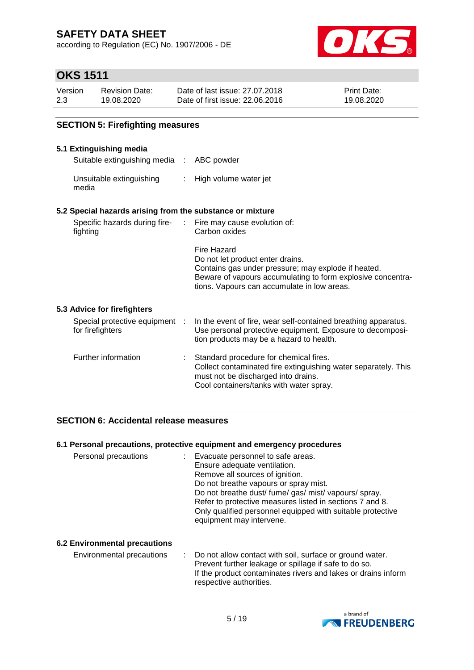according to Regulation (EC) No. 1907/2006 - DE



## **OKS 1511**

| Version | <b>Revision Date:</b> | Date of last issue: 27,07,2018  | <b>Print Date:</b> |
|---------|-----------------------|---------------------------------|--------------------|
| 2.3     | 19.08.2020            | Date of first issue: 22,06,2016 | 19.08.2020         |

### **SECTION 5: Firefighting measures**

#### **5.1 Extinguishing media**

Suitable extinguishing media : ABC powder

Unsuitable extinguishing media : High volume water jet

#### **5.2 Special hazards arising from the substance or mixture**

| Specific hazards during fire-<br>fighting          | ÷. | Fire may cause evolution of:<br>Carbon oxides                                                                                                                                                                        |
|----------------------------------------------------|----|----------------------------------------------------------------------------------------------------------------------------------------------------------------------------------------------------------------------|
|                                                    |    | Fire Hazard<br>Do not let product enter drains.<br>Contains gas under pressure; may explode if heated.<br>Beware of vapours accumulating to form explosive concentra-<br>tions. Vapours can accumulate in low areas. |
| 5.3 Advice for firefighters                        |    |                                                                                                                                                                                                                      |
| Special protective equipment :<br>for firefighters |    | In the event of fire, wear self-contained breathing apparatus.<br>Use personal protective equipment. Exposure to decomposi-<br>tion products may be a hazard to health.                                              |
| Further information                                |    | Standard procedure for chemical fires.                                                                                                                                                                               |

# Collect contaminated fire extinguishing water separately. This must not be discharged into drains. Cool containers/tanks with water spray.

### **SECTION 6: Accidental release measures**

#### **6.1 Personal precautions, protective equipment and emergency procedures**

| Personal precautions | : Evacuate personnel to safe areas.<br>Ensure adequate ventilation.<br>Remove all sources of ignition.<br>Do not breathe vapours or spray mist.<br>Do not breathe dust/ fume/ gas/ mist/ vapours/ spray.<br>Refer to protective measures listed in sections 7 and 8.<br>Only qualified personnel equipped with suitable protective<br>equipment may intervene. |
|----------------------|----------------------------------------------------------------------------------------------------------------------------------------------------------------------------------------------------------------------------------------------------------------------------------------------------------------------------------------------------------------|
|----------------------|----------------------------------------------------------------------------------------------------------------------------------------------------------------------------------------------------------------------------------------------------------------------------------------------------------------------------------------------------------------|

#### **6.2 Environmental precautions**

Environmental precautions : Do not allow contact with soil, surface or ground water. Prevent further leakage or spillage if safe to do so. If the product contaminates rivers and lakes or drains inform respective authorities.

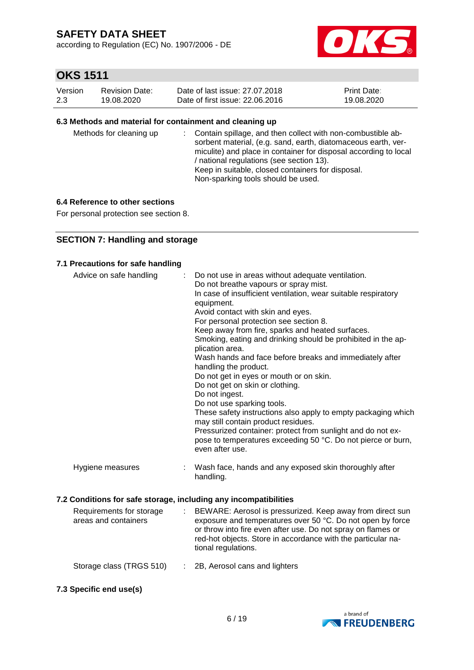according to Regulation (EC) No. 1907/2006 - DE



# **OKS 1511**

| Version | Revision Date: | Date of last issue: 27.07.2018  | <b>Print Date:</b> |
|---------|----------------|---------------------------------|--------------------|
| 2.3     | 19.08.2020     | Date of first issue: 22,06,2016 | 19.08.2020         |

#### **6.3 Methods and material for containment and cleaning up**

| Methods for cleaning up |  | : Contain spillage, and then collect with non-combustible ab-<br>sorbent material, (e.g. sand, earth, diatomaceous earth, ver-<br>miculite) and place in container for disposal according to local<br>/ national regulations (see section 13).<br>Keep in suitable, closed containers for disposal.<br>Non-sparking tools should be used. |
|-------------------------|--|-------------------------------------------------------------------------------------------------------------------------------------------------------------------------------------------------------------------------------------------------------------------------------------------------------------------------------------------|
|-------------------------|--|-------------------------------------------------------------------------------------------------------------------------------------------------------------------------------------------------------------------------------------------------------------------------------------------------------------------------------------------|

#### **6.4 Reference to other sections**

For personal protection see section 8.

### **SECTION 7: Handling and storage**

#### **7.1 Precautions for safe handling**

| Advice on safe handling                                                                      | Do not use in areas without adequate ventilation.<br>Do not breathe vapours or spray mist.<br>In case of insufficient ventilation, wear suitable respiratory<br>equipment.<br>Avoid contact with skin and eyes.<br>For personal protection see section 8.<br>Keep away from fire, sparks and heated surfaces.<br>Smoking, eating and drinking should be prohibited in the ap-<br>plication area.<br>Wash hands and face before breaks and immediately after<br>handling the product.<br>Do not get in eyes or mouth or on skin.<br>Do not get on skin or clothing.<br>Do not ingest.<br>Do not use sparking tools.<br>These safety instructions also apply to empty packaging which<br>may still contain product residues.<br>Pressurized container: protect from sunlight and do not ex-<br>pose to temperatures exceeding 50 °C. Do not pierce or burn,<br>even after use. |
|----------------------------------------------------------------------------------------------|------------------------------------------------------------------------------------------------------------------------------------------------------------------------------------------------------------------------------------------------------------------------------------------------------------------------------------------------------------------------------------------------------------------------------------------------------------------------------------------------------------------------------------------------------------------------------------------------------------------------------------------------------------------------------------------------------------------------------------------------------------------------------------------------------------------------------------------------------------------------------|
| Hygiene measures                                                                             | Wash face, hands and any exposed skin thoroughly after<br>handling.                                                                                                                                                                                                                                                                                                                                                                                                                                                                                                                                                                                                                                                                                                                                                                                                          |
| 7.2 Conditions for safe storage, including any incompatibilities<br>Requirements for storage | $\cdot$ BEWARE: Aerosol is pressurized. Keep away from direct sup-                                                                                                                                                                                                                                                                                                                                                                                                                                                                                                                                                                                                                                                                                                                                                                                                           |

| Requirements for storage<br>areas and containers | : BEWARE: Aerosol is pressurized. Keep away from direct sun<br>exposure and temperatures over 50 °C. Do not open by force<br>or throw into fire even after use. Do not spray on flames or<br>red-hot objects. Store in accordance with the particular na-<br>tional regulations. |
|--------------------------------------------------|----------------------------------------------------------------------------------------------------------------------------------------------------------------------------------------------------------------------------------------------------------------------------------|
| Storage class (TRGS 510)                         | : 2B, Aerosol cans and lighters                                                                                                                                                                                                                                                  |

**7.3 Specific end use(s)**

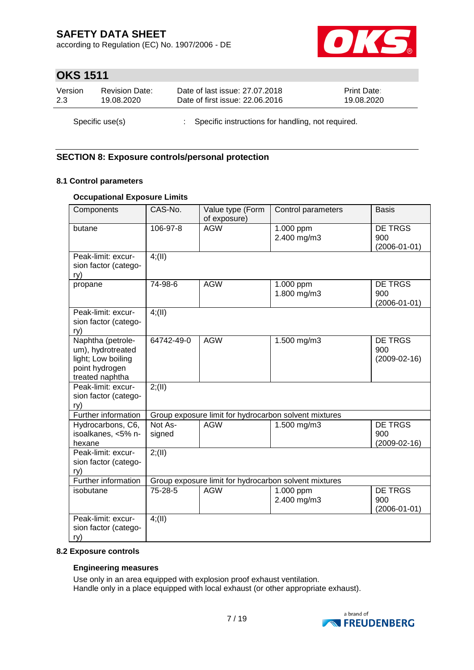according to Regulation (EC) No. 1907/2006 - DE



## **OKS 1511**

| Version | <b>Revision Date:</b> | Date of last issue: 27.07.2018                      | <b>Print Date:</b> |
|---------|-----------------------|-----------------------------------------------------|--------------------|
| 2.3     | 19.08.2020            | Date of first issue: 22.06.2016                     | 19.08.2020         |
|         | Specific use(s)       | : Specific instructions for handling, not required. |                    |

### **SECTION 8: Exposure controls/personal protection**

### **8.1 Control parameters**

### **Occupational Exposure Limits**

| Components                                                                                        | CAS-No.           | Value type (Form<br>of exposure) | Control parameters                                    | <b>Basis</b>                                |
|---------------------------------------------------------------------------------------------------|-------------------|----------------------------------|-------------------------------------------------------|---------------------------------------------|
| butane                                                                                            | 106-97-8          | <b>AGW</b>                       | 1.000 ppm<br>2.400 mg/m3                              | DE TRGS<br>900<br>$(2006 - 01 - 01)$        |
| Peak-limit: excur-<br>sion factor (catego-<br>ry)                                                 | 4(11)             |                                  |                                                       |                                             |
| propane                                                                                           | 74-98-6           | <b>AGW</b>                       | 1.000 ppm<br>1.800 mg/m3                              | DE TRGS<br>900<br>$(2006 - 01 - 01)$        |
| Peak-limit: excur-<br>sion factor (catego-<br>ry)                                                 | 4(11)             |                                  |                                                       |                                             |
| Naphtha (petrole-<br>um), hydrotreated<br>light; Low boiling<br>point hydrogen<br>treated naphtha | 64742-49-0        | <b>AGW</b>                       | 1.500 mg/m3                                           | DE TRGS<br>900<br>$(2009-02-16)$            |
| Peak-limit: excur-<br>sion factor (catego-<br>ry)                                                 | 2; (II)           |                                  |                                                       |                                             |
| Further information                                                                               |                   |                                  | Group exposure limit for hydrocarbon solvent mixtures |                                             |
| Hydrocarbons, C6,<br>isoalkanes, <5% n-<br>hexane                                                 | Not As-<br>signed | <b>AGW</b>                       | 1.500 mg/m3                                           | <b>DE TRGS</b><br>900<br>$(2009-02-16)$     |
| Peak-limit: excur-<br>sion factor (catego-<br>ry)                                                 | 2; (II)           |                                  |                                                       |                                             |
| Further information                                                                               |                   |                                  | Group exposure limit for hydrocarbon solvent mixtures |                                             |
| isobutane                                                                                         | 75-28-5           | <b>AGW</b>                       | 1.000 ppm<br>2.400 mg/m3                              | <b>DE TRGS</b><br>900<br>$(2006 - 01 - 01)$ |
| Peak-limit: excur-<br>sion factor (catego-<br>ry)                                                 | $4$ ; (II)        |                                  |                                                       |                                             |

#### **8.2 Exposure controls**

#### **Engineering measures**

Use only in an area equipped with explosion proof exhaust ventilation. Handle only in a place equipped with local exhaust (or other appropriate exhaust).

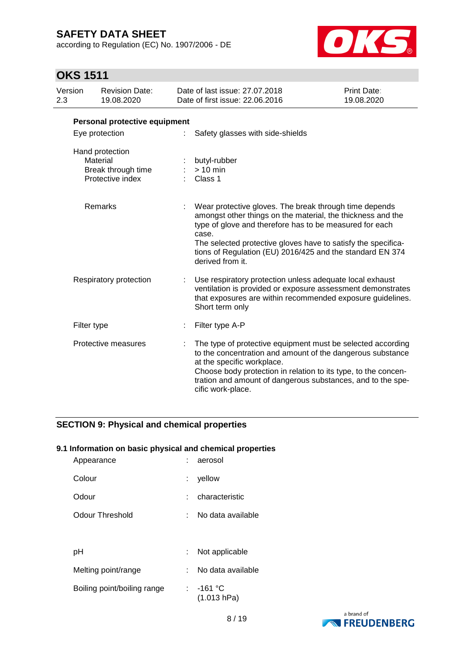according to Regulation (EC) No. 1907/2006 - DE



# **OKS 1511**

| Version<br>2.3 | <b>Revision Date:</b><br>19.08.2020                                   | Date of last issue: 27.07.2018<br>Date of first issue: 22,06,2016                                                                                                                                                                                                                                                                           | <b>Print Date:</b><br>19.08.2020 |
|----------------|-----------------------------------------------------------------------|---------------------------------------------------------------------------------------------------------------------------------------------------------------------------------------------------------------------------------------------------------------------------------------------------------------------------------------------|----------------------------------|
|                | Personal protective equipment                                         |                                                                                                                                                                                                                                                                                                                                             |                                  |
|                | Eye protection                                                        | Safety glasses with side-shields                                                                                                                                                                                                                                                                                                            |                                  |
|                | Hand protection<br>Material<br>Break through time<br>Protective index | butyl-rubber<br>$> 10$ min<br>Class 1                                                                                                                                                                                                                                                                                                       |                                  |
|                | Remarks                                                               | Wear protective gloves. The break through time depends<br>amongst other things on the material, the thickness and the<br>type of glove and therefore has to be measured for each<br>case.<br>The selected protective gloves have to satisfy the specifica-<br>tions of Regulation (EU) 2016/425 and the standard EN 374<br>derived from it. |                                  |
|                | Respiratory protection                                                | Use respiratory protection unless adequate local exhaust<br>ventilation is provided or exposure assessment demonstrates<br>that exposures are within recommended exposure guidelines.<br>Short term only                                                                                                                                    |                                  |
|                | Filter type                                                           | Filter type A-P                                                                                                                                                                                                                                                                                                                             |                                  |
|                | Protective measures                                                   | The type of protective equipment must be selected according<br>to the concentration and amount of the dangerous substance<br>at the specific workplace.<br>Choose body protection in relation to its type, to the concen-<br>tration and amount of dangerous substances, and to the spe-<br>cific work-place.                               |                                  |

### **SECTION 9: Physical and chemical properties**

### **9.1 Information on basic physical and chemical properties**

| Appearance                  |    | aerosol                    |
|-----------------------------|----|----------------------------|
| Colour                      | t. | yellow                     |
| Odour                       |    | characteristic             |
| Odour Threshold             |    | No data available          |
|                             |    |                            |
| рH                          | ÷. | Not applicable             |
| Melting point/range         |    | No data available          |
| Boiling point/boiling range |    | $: -161 °C$<br>(1.013 hPa) |

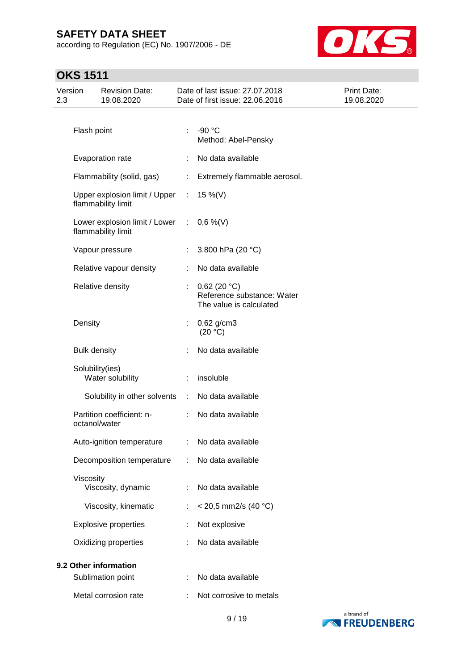according to Regulation (EC) No. 1907/2006 - DE



# **OKS 1511**

| Version<br>2.3 |                     | <b>Revision Date:</b><br>19.08.2020                   |                             | Date of last issue: 27.07.2018<br>Date of first issue: 22.06.2016    | Print Date:<br>19.08.2020 |
|----------------|---------------------|-------------------------------------------------------|-----------------------------|----------------------------------------------------------------------|---------------------------|
|                |                     |                                                       |                             |                                                                      |                           |
|                | Flash point         |                                                       | ÷                           | $-90 °C$<br>Method: Abel-Pensky                                      |                           |
|                |                     | Evaporation rate                                      | ÷                           | No data available                                                    |                           |
|                |                     | Flammability (solid, gas)                             | ÷                           | Extremely flammable aerosol.                                         |                           |
|                |                     | Upper explosion limit / Upper<br>flammability limit   | $\mathcal{L}^{\mathcal{L}}$ | 15 %(V)                                                              |                           |
|                |                     | Lower explosion limit / Lower :<br>flammability limit |                             | $0,6\%$ (V)                                                          |                           |
|                |                     | Vapour pressure                                       | ÷.                          | 3.800 hPa (20 °C)                                                    |                           |
|                |                     | Relative vapour density                               | ÷                           | No data available                                                    |                           |
|                |                     | Relative density                                      | ÷.                          | 0,62(20 °C)<br>Reference substance: Water<br>The value is calculated |                           |
|                | Density             |                                                       |                             | $0,62$ g/cm3<br>(20 °C)                                              |                           |
|                | <b>Bulk density</b> |                                                       |                             | No data available                                                    |                           |
|                | Solubility(ies)     | Water solubility                                      |                             | insoluble                                                            |                           |
|                |                     | Solubility in other solvents                          | $\mathcal{L}_{\mathcal{A}}$ | No data available                                                    |                           |
|                | octanol/water       | Partition coefficient: n-                             | $\mathbb{R}^n$              | No data available                                                    |                           |
|                |                     | Auto-ignition temperature : No data available         |                             |                                                                      |                           |
|                |                     | Decomposition temperature                             |                             | No data available                                                    |                           |
|                | Viscosity           | Viscosity, dynamic                                    |                             | No data available                                                    |                           |
|                |                     | Viscosity, kinematic                                  | ÷                           | $<$ 20,5 mm2/s (40 °C)                                               |                           |
|                |                     | <b>Explosive properties</b>                           |                             | Not explosive                                                        |                           |
|                |                     | Oxidizing properties                                  |                             | No data available                                                    |                           |
|                |                     | 9.2 Other information                                 |                             |                                                                      |                           |
|                |                     | Sublimation point                                     |                             | No data available                                                    |                           |
|                |                     | Metal corrosion rate                                  |                             | Not corrosive to metals                                              |                           |

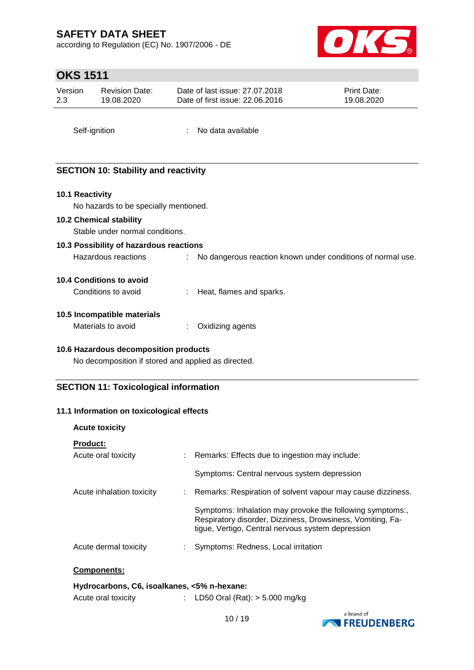according to Regulation (EC) No. 1907/2006 - DE



## **OKS 1511**

| Version | <b>Revision Date:</b> | Date of last issue: 27,07,2018  | <b>Print Date:</b> |
|---------|-----------------------|---------------------------------|--------------------|
| 2.3     | 19.08.2020            | Date of first issue: 22,06,2016 | 19.08.2020         |
|         |                       |                                 |                    |

Self-ignition : No data available

### **SECTION 10: Stability and reactivity**

### **10.1 Reactivity**

No hazards to be specially mentioned.

#### **10.2 Chemical stability**

Stable under normal conditions.

### **10.3 Possibility of hazardous reactions**

Hazardous reactions : No dangerous reaction known under conditions of normal use.

#### **10.4 Conditions to avoid**

| Conditions to avoid | Heat, flames and sparks. |
|---------------------|--------------------------|
|---------------------|--------------------------|

#### **10.5 Incompatible materials**

| Materials to avoid |  | Oxidizing agents |
|--------------------|--|------------------|
|--------------------|--|------------------|

### **10.6 Hazardous decomposition products**

No decomposition if stored and applied as directed.

### **SECTION 11: Toxicological information**

#### **11.1 Information on toxicological effects**

| : Remarks: Effects due to ingestion may include:                                                                                                                             |
|------------------------------------------------------------------------------------------------------------------------------------------------------------------------------|
| Symptoms: Central nervous system depression                                                                                                                                  |
| : Remarks: Respiration of solvent vapour may cause dizziness.                                                                                                                |
| Symptoms: Inhalation may provoke the following symptoms:,<br>Respiratory disorder, Dizziness, Drowsiness, Vomiting, Fa-<br>tique, Vertigo, Central nervous system depression |
| Symptoms: Redness, Local irritation                                                                                                                                          |
|                                                                                                                                                                              |
|                                                                                                                                                                              |

#### **Hydrocarbons, C6, isoalkanes, <5% n-hexane:**

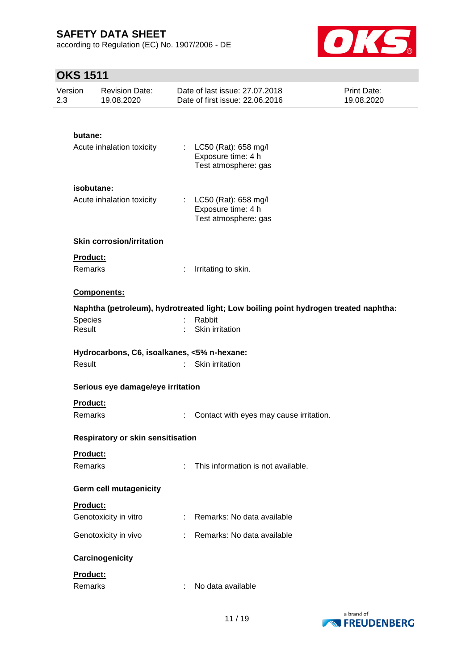according to Regulation (EC) No. 1907/2006 - DE



# **OKS 1511**

| Version<br>2.3 | <b>Revision Date:</b><br>19.08.2020         |   | Date of last issue: 27.07.2018<br>Date of first issue: 22.06.2016                    | Print Date:<br>19.08.2020 |  |
|----------------|---------------------------------------------|---|--------------------------------------------------------------------------------------|---------------------------|--|
|                |                                             |   |                                                                                      |                           |  |
|                | butane:                                     |   |                                                                                      |                           |  |
|                | Acute inhalation toxicity                   |   | : $LC50$ (Rat): 658 mg/l<br>Exposure time: 4 h<br>Test atmosphere: gas               |                           |  |
|                | isobutane:                                  |   |                                                                                      |                           |  |
|                | Acute inhalation toxicity                   |   | : $LC50$ (Rat): 658 mg/l<br>Exposure time: 4 h<br>Test atmosphere: gas               |                           |  |
|                | <b>Skin corrosion/irritation</b>            |   |                                                                                      |                           |  |
|                | Product:                                    |   |                                                                                      |                           |  |
|                | Remarks                                     | ÷ | Irritating to skin.                                                                  |                           |  |
|                | <b>Components:</b>                          |   |                                                                                      |                           |  |
|                |                                             |   | Naphtha (petroleum), hydrotreated light; Low boiling point hydrogen treated naphtha: |                           |  |
|                | Species                                     |   | Rabbit                                                                               |                           |  |
|                | Result                                      |   | Skin irritation                                                                      |                           |  |
|                | Hydrocarbons, C6, isoalkanes, <5% n-hexane: |   |                                                                                      |                           |  |
|                | Result                                      |   | Skin irritation                                                                      |                           |  |
|                |                                             |   |                                                                                      |                           |  |
|                | Serious eye damage/eye irritation           |   |                                                                                      |                           |  |
|                | Product:                                    |   |                                                                                      |                           |  |
|                | Remarks                                     |   | Contact with eyes may cause irritation.                                              |                           |  |
|                | <b>Respiratory or skin sensitisation</b>    |   |                                                                                      |                           |  |
|                | Product:                                    |   |                                                                                      |                           |  |
|                | Remarks                                     | ÷ | This information is not available.                                                   |                           |  |
|                | Germ cell mutagenicity                      |   |                                                                                      |                           |  |
|                | <b>Product:</b>                             |   |                                                                                      |                           |  |
|                | Genotoxicity in vitro                       | ÷ | Remarks: No data available                                                           |                           |  |
|                | Genotoxicity in vivo                        |   | Remarks: No data available                                                           |                           |  |
|                | Carcinogenicity                             |   |                                                                                      |                           |  |
|                | Product:                                    |   |                                                                                      |                           |  |
|                | Remarks                                     | ÷ | No data available                                                                    |                           |  |

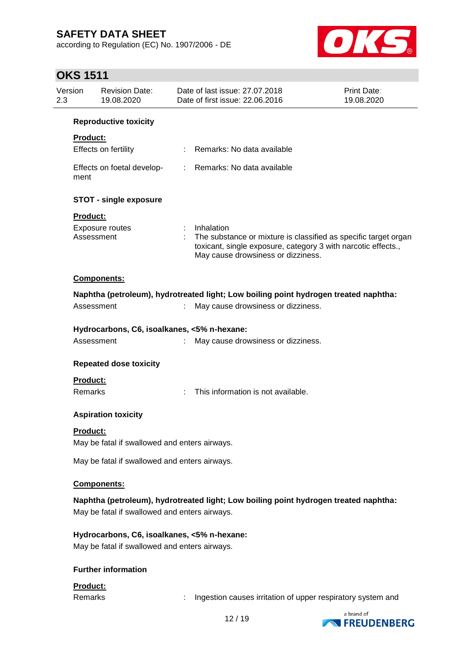according to Regulation (EC) No. 1907/2006 - DE



# **OKS 1511**

| 2.3 | Version                       | <b>Revision Date:</b><br>19.08.2020                                                          |    | Date of last issue: 27,07,2018<br>Date of first issue: 22.06.2016                                                                                                                    | Print Date:<br>19.08.2020 |  |  |  |
|-----|-------------------------------|----------------------------------------------------------------------------------------------|----|--------------------------------------------------------------------------------------------------------------------------------------------------------------------------------------|---------------------------|--|--|--|
|     |                               | <b>Reproductive toxicity</b>                                                                 |    |                                                                                                                                                                                      |                           |  |  |  |
|     | <b>Product:</b>               | Effects on fertility                                                                         |    | Remarks: No data available                                                                                                                                                           |                           |  |  |  |
|     | ment                          | Effects on foetal develop-                                                                   | t. | Remarks: No data available                                                                                                                                                           |                           |  |  |  |
|     |                               | <b>STOT - single exposure</b>                                                                |    |                                                                                                                                                                                      |                           |  |  |  |
|     | <b>Product:</b><br>Assessment | Exposure routes                                                                              |    | Inhalation<br>The substance or mixture is classified as specific target organ<br>toxicant, single exposure, category 3 with narcotic effects.,<br>May cause drowsiness or dizziness. |                           |  |  |  |
|     |                               | Components:                                                                                  |    |                                                                                                                                                                                      |                           |  |  |  |
|     |                               |                                                                                              |    | Naphtha (petroleum), hydrotreated light; Low boiling point hydrogen treated naphtha:                                                                                                 |                           |  |  |  |
|     | Assessment                    |                                                                                              |    | May cause drowsiness or dizziness.                                                                                                                                                   |                           |  |  |  |
|     |                               | Hydrocarbons, C6, isoalkanes, <5% n-hexane:                                                  |    |                                                                                                                                                                                      |                           |  |  |  |
|     | Assessment                    |                                                                                              |    | May cause drowsiness or dizziness.                                                                                                                                                   |                           |  |  |  |
|     |                               | <b>Repeated dose toxicity</b>                                                                |    |                                                                                                                                                                                      |                           |  |  |  |
|     | Product:<br>Remarks           |                                                                                              |    | This information is not available.                                                                                                                                                   |                           |  |  |  |
|     |                               | <b>Aspiration toxicity</b>                                                                   |    |                                                                                                                                                                                      |                           |  |  |  |
|     | Product:                      | May be fatal if swallowed and enters airways.                                                |    |                                                                                                                                                                                      |                           |  |  |  |
|     |                               | May be fatal if swallowed and enters airways.                                                |    |                                                                                                                                                                                      |                           |  |  |  |
|     |                               | Components:                                                                                  |    |                                                                                                                                                                                      |                           |  |  |  |
|     |                               | May be fatal if swallowed and enters airways.                                                |    | Naphtha (petroleum), hydrotreated light; Low boiling point hydrogen treated naphtha:                                                                                                 |                           |  |  |  |
|     |                               | Hydrocarbons, C6, isoalkanes, <5% n-hexane:<br>May be fatal if swallowed and enters airways. |    |                                                                                                                                                                                      |                           |  |  |  |
|     | <b>Further information</b>    |                                                                                              |    |                                                                                                                                                                                      |                           |  |  |  |
|     |                               |                                                                                              |    |                                                                                                                                                                                      |                           |  |  |  |

## **Product:**

Remarks : Ingestion causes irritation of upper respiratory system and

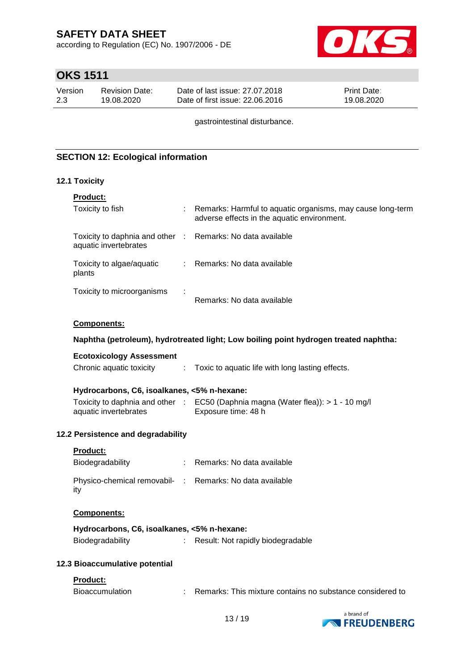according to Regulation (EC) No. 1907/2006 - DE



## **OKS 1511**

| Version | Revision Date: | Date of last issue: 27,07,2018  | <b>Print Date:</b> |
|---------|----------------|---------------------------------|--------------------|
| 2.3     | 19.08.2020     | Date of first issue: 22,06,2016 | 19.08.2020         |

gastrointestinal disturbance.

### **SECTION 12: Ecological information**

#### **12.1 Toxicity**

| <b>Product:</b>                                                                     |   |                                                                                                           |
|-------------------------------------------------------------------------------------|---|-----------------------------------------------------------------------------------------------------------|
| Toxicity to fish                                                                    |   | Remarks: Harmful to aquatic organisms, may cause long-term<br>adverse effects in the aquatic environment. |
| Toxicity to daphnia and other : Remarks: No data available<br>aquatic invertebrates |   |                                                                                                           |
| Toxicity to algae/aquatic<br>plants                                                 |   | : Remarks: No data available                                                                              |
| Toxicity to microorganisms                                                          | ÷ | Remarks: No data available                                                                                |

#### **Components:**

#### **Naphtha (petroleum), hydrotreated light; Low boiling point hydrogen treated naphtha:**

#### **Ecotoxicology Assessment**

| Chronic aquatic toxicity |  |  | Toxic to aquatic life with long lasting effects. |
|--------------------------|--|--|--------------------------------------------------|
|--------------------------|--|--|--------------------------------------------------|

### **Hydrocarbons, C6, isoalkanes, <5% n-hexane:**

|                       | Toxicity to daphnia and other : EC50 (Daphnia magna (Water flea)): > 1 - 10 mg/l |
|-----------------------|----------------------------------------------------------------------------------|
| aquatic invertebrates | Exposure time: 48 h                                                              |

#### **12.2 Persistence and degradability**

#### **Product:**

| Biodegradability                                                | Remarks: No data available |
|-----------------------------------------------------------------|----------------------------|
| Physico-chemical removabil- : Remarks: No data available<br>ity |                            |

#### **Components:**

| Hydrocarbons, C6, isoalkanes, <5% n-hexane: |                                   |
|---------------------------------------------|-----------------------------------|
| Biodegradability                            | Result: Not rapidly biodegradable |

#### **12.3 Bioaccumulative potential**

#### **Product:**

| Bioaccumulation | Remarks: This mixture contains no substance considered to |
|-----------------|-----------------------------------------------------------|
|                 |                                                           |

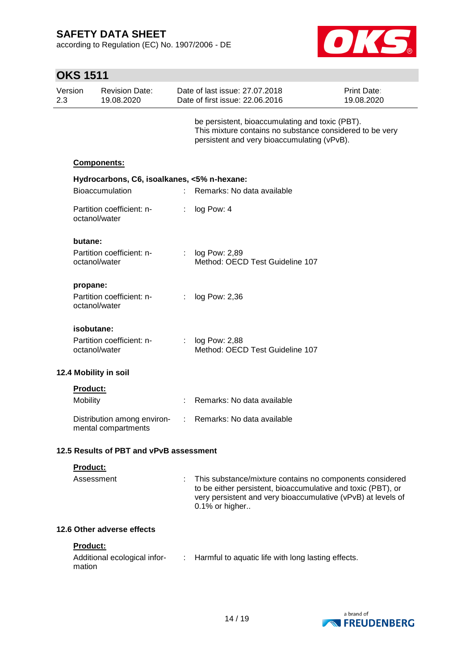according to Regulation (EC) No. 1907/2006 - DE



|                | <b>OKS 1511</b>           |                                                    |                             |                                                                                                                                                                                                            |                                  |  |  |  |
|----------------|---------------------------|----------------------------------------------------|-----------------------------|------------------------------------------------------------------------------------------------------------------------------------------------------------------------------------------------------------|----------------------------------|--|--|--|
| Version<br>2.3 |                           | <b>Revision Date:</b><br>19.08.2020                |                             | Date of last issue: 27,07,2018<br>Date of first issue: 22.06.2016                                                                                                                                          | <b>Print Date:</b><br>19.08.2020 |  |  |  |
|                |                           |                                                    |                             | be persistent, bioaccumulating and toxic (PBT).<br>This mixture contains no substance considered to be very<br>persistent and very bioaccumulating (vPvB).                                                 |                                  |  |  |  |
|                |                           | <b>Components:</b>                                 |                             |                                                                                                                                                                                                            |                                  |  |  |  |
|                |                           | Hydrocarbons, C6, isoalkanes, <5% n-hexane:        |                             |                                                                                                                                                                                                            |                                  |  |  |  |
|                |                           | <b>Bioaccumulation</b>                             | $\mathbf{r}_{\mathrm{max}}$ | Remarks: No data available                                                                                                                                                                                 |                                  |  |  |  |
|                | octanol/water             | Partition coefficient: n-                          | ÷                           | log Pow: 4                                                                                                                                                                                                 |                                  |  |  |  |
|                | butane:                   |                                                    |                             |                                                                                                                                                                                                            |                                  |  |  |  |
|                | octanol/water             | Partition coefficient: n-                          |                             | log Pow: 2,89<br>Method: OECD Test Guideline 107                                                                                                                                                           |                                  |  |  |  |
|                | propane:                  |                                                    |                             |                                                                                                                                                                                                            |                                  |  |  |  |
|                | octanol/water             | Partition coefficient: n-                          | ÷.                          | log Pow: 2,36                                                                                                                                                                                              |                                  |  |  |  |
|                | isobutane:                |                                                    |                             |                                                                                                                                                                                                            |                                  |  |  |  |
|                | octanol/water             | Partition coefficient: n-                          |                             | log Pow: 2,88<br>Method: OECD Test Guideline 107                                                                                                                                                           |                                  |  |  |  |
|                |                           | 12.4 Mobility in soil                              |                             |                                                                                                                                                                                                            |                                  |  |  |  |
|                | <b>Product:</b>           |                                                    |                             |                                                                                                                                                                                                            |                                  |  |  |  |
|                | Mobility                  |                                                    |                             | Remarks: No data available                                                                                                                                                                                 |                                  |  |  |  |
|                |                           | Distribution among environ-<br>mental compartments |                             | Remarks: No data available                                                                                                                                                                                 |                                  |  |  |  |
|                |                           | 12.5 Results of PBT and vPvB assessment            |                             |                                                                                                                                                                                                            |                                  |  |  |  |
|                | Product:                  |                                                    |                             |                                                                                                                                                                                                            |                                  |  |  |  |
|                | Assessment                |                                                    |                             | This substance/mixture contains no components considered<br>to be either persistent, bioaccumulative and toxic (PBT), or<br>very persistent and very bioaccumulative (vPvB) at levels of<br>0.1% or higher |                                  |  |  |  |
|                |                           | 12.6 Other adverse effects                         |                             |                                                                                                                                                                                                            |                                  |  |  |  |
|                | <b>Product:</b><br>mation | Additional ecological infor-<br>:                  |                             | Harmful to aquatic life with long lasting effects.                                                                                                                                                         |                                  |  |  |  |

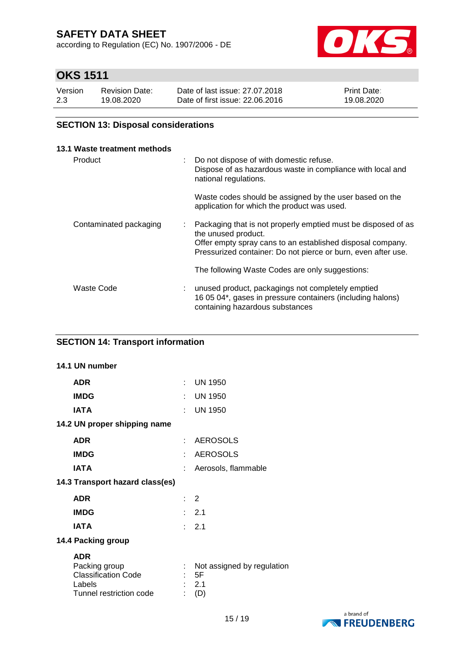according to Regulation (EC) No. 1907/2006 - DE



## **OKS 1511**

| Version | <b>Revision Date:</b> | Date of last issue: 27.07.2018  | <b>Print Date:</b> |
|---------|-----------------------|---------------------------------|--------------------|
| 2.3     | 19.08.2020            | Date of first issue: 22.06.2016 | 19.08.2020         |

### **SECTION 13: Disposal considerations**

| 13.1 Waste treatment methods |    |                                                                                                                                                                                                                     |
|------------------------------|----|---------------------------------------------------------------------------------------------------------------------------------------------------------------------------------------------------------------------|
| Product                      | t. | Do not dispose of with domestic refuse.<br>Dispose of as hazardous waste in compliance with local and<br>national regulations.                                                                                      |
|                              |    | Waste codes should be assigned by the user based on the<br>application for which the product was used.                                                                                                              |
| Contaminated packaging       | t. | Packaging that is not properly emptied must be disposed of as<br>the unused product.<br>Offer empty spray cans to an established disposal company.<br>Pressurized container: Do not pierce or burn, even after use. |
|                              |    | The following Waste Codes are only suggestions:                                                                                                                                                                     |
| Waste Code                   |    | unused product, packagings not completely emptied<br>16 05 04*, gases in pressure containers (including halons)<br>containing hazardous substances                                                                  |

### **SECTION 14: Transport information**

# **14.1 UN number ADR** : UN 1950 **IMDG** : UN 1950 **IATA** : UN 1950 **14.2 UN proper shipping name ADR** : AEROSOLS **IMDG** : AEROSOLS **IATA** : Aerosols, flammable **14.3 Transport hazard class(es) ADR** : 2 **IMDG** : 2.1 **IATA** : 2.1 **14.4 Packing group ADR**<br>Packing group : Not assigned by regulation Classification Code : 5F Labels : 2.1 Tunnel restriction code : (D)

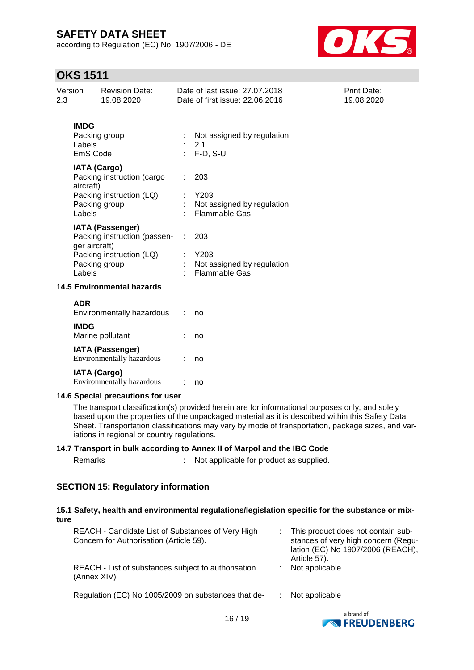according to Regulation (EC) No. 1907/2006 - DE



## **OKS 1511**

| Version<br>2.3        | <b>Revision Date:</b><br>19.08.2020                                      |   | Date of last issue: 27.07.2018<br>Date of first issue: 22.06.2016                                                                                                                                                                                                                                       | Print Date:<br>19.08.2020 |
|-----------------------|--------------------------------------------------------------------------|---|---------------------------------------------------------------------------------------------------------------------------------------------------------------------------------------------------------------------------------------------------------------------------------------------------------|---------------------------|
| <b>IMDG</b><br>Labels | Packing group<br>EmS Code                                                |   | Not assigned by regulation<br>2.1<br>F-D, S-U                                                                                                                                                                                                                                                           |                           |
| aircraft)             | <b>IATA (Cargo)</b><br>Packing instruction (cargo                        |   | 203                                                                                                                                                                                                                                                                                                     |                           |
| Labels                | Packing instruction (LQ)<br>Packing group                                |   | Y203<br>Not assigned by regulation<br><b>Flammable Gas</b>                                                                                                                                                                                                                                              |                           |
|                       | <b>IATA (Passenger)</b><br>Packing instruction (passen-<br>ger aircraft) | ÷ | 203                                                                                                                                                                                                                                                                                                     |                           |
| Labels                | Packing instruction (LQ)<br>Packing group                                |   | Y203<br>Not assigned by regulation<br>Flammable Gas                                                                                                                                                                                                                                                     |                           |
|                       | <b>14.5 Environmental hazards</b>                                        |   |                                                                                                                                                                                                                                                                                                         |                           |
| <b>ADR</b>            | Environmentally hazardous                                                |   | no                                                                                                                                                                                                                                                                                                      |                           |
| <b>IMDG</b>           | Marine pollutant                                                         |   | no                                                                                                                                                                                                                                                                                                      |                           |
|                       | <b>IATA (Passenger)</b><br>Environmentally hazardous                     |   | no                                                                                                                                                                                                                                                                                                      |                           |
|                       | <b>IATA (Cargo)</b><br>Environmentally hazardous                         |   | no                                                                                                                                                                                                                                                                                                      |                           |
|                       | 14.6 Special precautions for user                                        |   |                                                                                                                                                                                                                                                                                                         |                           |
|                       |                                                                          |   | The transport classification(s) provided herein are for informational purposes only, and solely<br>based upon the properties of the unpackaged material as it is described within this Safety Data<br>Sheet. Transportation classifications may vary by mode of transportation, package sizes, and var- |                           |

iations in regional or country regulations. **14.7 Transport in bulk according to Annex II of Marpol and the IBC Code**

|         |  |  |  | .                                       |
|---------|--|--|--|-----------------------------------------|
| Remarks |  |  |  | Not applicable for product as supplied. |

### **SECTION 15: Regulatory information**

#### **15.1 Safety, health and environmental regulations/legislation specific for the substance or mixture**

| REACH - Candidate List of Substances of Very High<br>Concern for Authorisation (Article 59). | This product does not contain sub-<br>stances of very high concern (Regu-<br>lation (EC) No 1907/2006 (REACH),<br>Article 57). |
|----------------------------------------------------------------------------------------------|--------------------------------------------------------------------------------------------------------------------------------|
| REACH - List of substances subject to authorisation<br>(Annex XIV)                           | Not applicable                                                                                                                 |
| Regulation (EC) No 1005/2009 on substances that de-                                          | Not applicable                                                                                                                 |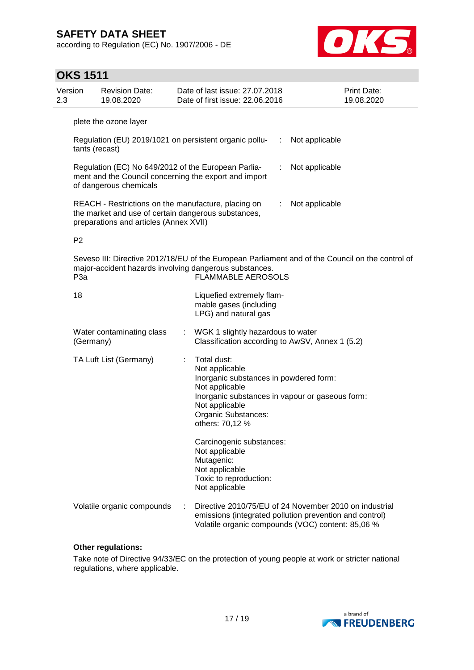according to Regulation (EC) No. 1907/2006 - DE



## **OKS 1511**

| Version<br>2.3  | <b>Revision Date:</b><br>19.08.2020                                                                                                                  | Date of last issue: 27.07.2018<br>Date of first issue: 22.06.2016                                                                                                                                        | Print Date:<br>19.08.2020 |
|-----------------|------------------------------------------------------------------------------------------------------------------------------------------------------|----------------------------------------------------------------------------------------------------------------------------------------------------------------------------------------------------------|---------------------------|
|                 | plete the ozone layer                                                                                                                                |                                                                                                                                                                                                          |                           |
|                 | Regulation (EU) 2019/1021 on persistent organic pollu-<br>tants (recast)                                                                             | Not applicable<br>$\sim 10$                                                                                                                                                                              |                           |
|                 | Regulation (EC) No 649/2012 of the European Parlia-<br>ment and the Council concerning the export and import<br>of dangerous chemicals               | Not applicable                                                                                                                                                                                           |                           |
|                 | REACH - Restrictions on the manufacture, placing on<br>the market and use of certain dangerous substances,<br>preparations and articles (Annex XVII) | Not applicable<br>÷.                                                                                                                                                                                     |                           |
| P <sub>2</sub>  |                                                                                                                                                      |                                                                                                                                                                                                          |                           |
| P <sub>3a</sub> | major-accident hazards involving dangerous substances.                                                                                               | Seveso III: Directive 2012/18/EU of the European Parliament and of the Council on the control of<br><b>FLAMMABLE AEROSOLS</b>                                                                            |                           |
| 18              |                                                                                                                                                      | Liquefied extremely flam-<br>mable gases (including<br>LPG) and natural gas                                                                                                                              |                           |
|                 | Water contaminating class<br>(Germany)                                                                                                               | : WGK 1 slightly hazardous to water<br>Classification according to AwSV, Annex 1 (5.2)                                                                                                                   |                           |
|                 | TA Luft List (Germany)                                                                                                                               | Total dust:<br>Not applicable<br>Inorganic substances in powdered form:<br>Not applicable<br>Inorganic substances in vapour or gaseous form:<br>Not applicable<br>Organic Substances:<br>others: 70,12 % |                           |
|                 |                                                                                                                                                      | Carcinogenic substances:<br>Not applicable<br>Mutagenic:<br>Not applicable<br>Toxic to reproduction:<br>Not applicable                                                                                   |                           |
|                 | Volatile organic compounds                                                                                                                           | Directive 2010/75/EU of 24 November 2010 on industrial<br>emissions (integrated pollution prevention and control)<br>Volatile organic compounds (VOC) content: 85,06 %                                   |                           |

#### **Other regulations:**

Take note of Directive 94/33/EC on the protection of young people at work or stricter national regulations, where applicable.

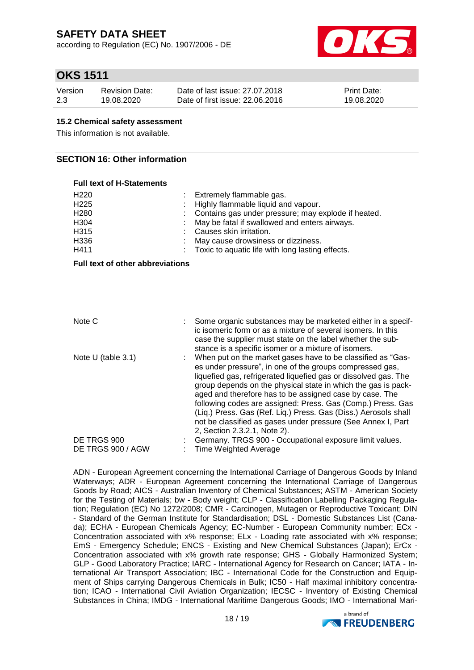according to Regulation (EC) No. 1907/2006 - DE



### **OKS 1511**

| Version | <b>Revision Date:</b> | Date of last issue: 27,07,2018  | <b>Print Date:</b> |
|---------|-----------------------|---------------------------------|--------------------|
| 2.3     | 19.08.2020            | Date of first issue: 22,06,2016 | 19.08.2020         |

#### **15.2 Chemical safety assessment**

This information is not available.

### **SECTION 16: Other information**

### **Full text of H-Statements** H220 : Extremely flammable gas. H225 : Highly flammable liquid and vapour.<br>H280 : Contains gas under pressure: may a Contains gas under pressure; may explode if heated. H304 : May be fatal if swallowed and enters airways. H315 : Causes skin irritation. H336 : May cause drowsiness or dizziness. H411 : Toxic to aquatic life with long lasting effects.

**Full text of other abbreviations**

| Note C               | Some organic substances may be marketed either in a specif-<br>ic isomeric form or as a mixture of several isomers. In this<br>case the supplier must state on the label whether the sub-<br>stance is a specific isomer or a mixture of isomers.                                                                                                                                                                                                                                                                                                          |
|----------------------|------------------------------------------------------------------------------------------------------------------------------------------------------------------------------------------------------------------------------------------------------------------------------------------------------------------------------------------------------------------------------------------------------------------------------------------------------------------------------------------------------------------------------------------------------------|
| Note $U$ (table 3.1) | : When put on the market gases have to be classified as "Gas-<br>es under pressure", in one of the groups compressed gas,<br>liquefied gas, refrigerated liquefied gas or dissolved gas. The<br>group depends on the physical state in which the gas is pack-<br>aged and therefore has to be assigned case by case. The<br>following codes are assigned: Press. Gas (Comp.) Press. Gas<br>(Liq.) Press. Gas (Ref. Liq.) Press. Gas (Diss.) Aerosols shall<br>not be classified as gases under pressure (See Annex I, Part<br>2, Section 2.3.2.1, Note 2). |
| DE TRGS 900          | Germany. TRGS 900 - Occupational exposure limit values.                                                                                                                                                                                                                                                                                                                                                                                                                                                                                                    |
| DE TRGS 900 / AGW    | <b>Time Weighted Average</b>                                                                                                                                                                                                                                                                                                                                                                                                                                                                                                                               |

ADN - European Agreement concerning the International Carriage of Dangerous Goods by Inland Waterways; ADR - European Agreement concerning the International Carriage of Dangerous Goods by Road; AICS - Australian Inventory of Chemical Substances; ASTM - American Society for the Testing of Materials; bw - Body weight; CLP - Classification Labelling Packaging Regulation; Regulation (EC) No 1272/2008; CMR - Carcinogen, Mutagen or Reproductive Toxicant; DIN - Standard of the German Institute for Standardisation; DSL - Domestic Substances List (Canada); ECHA - European Chemicals Agency; EC-Number - European Community number; ECx - Concentration associated with x% response; ELx - Loading rate associated with x% response; EmS - Emergency Schedule; ENCS - Existing and New Chemical Substances (Japan); ErCx - Concentration associated with x% growth rate response; GHS - Globally Harmonized System; GLP - Good Laboratory Practice; IARC - International Agency for Research on Cancer; IATA - International Air Transport Association; IBC - International Code for the Construction and Equipment of Ships carrying Dangerous Chemicals in Bulk; IC50 - Half maximal inhibitory concentration; ICAO - International Civil Aviation Organization; IECSC - Inventory of Existing Chemical Substances in China; IMDG - International Maritime Dangerous Goods; IMO - International Mari-